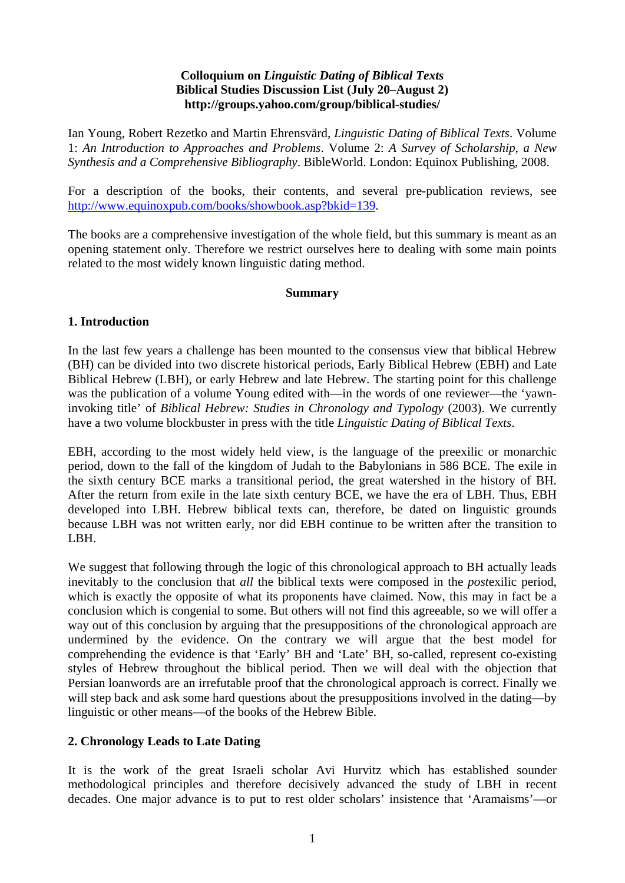## **Colloquium on** *Linguistic Dating of Biblical Texts*  **Biblical Studies Discussion List (July 20–August 2) http://groups.yahoo.com/group/biblical-studies/**

Ian Young, Robert Rezetko and Martin Ehrensvärd, *Linguistic Dating of Biblical Texts*. Volume 1: *An Introduction to Approaches and Problems*. Volume 2: *A Survey of Scholarship, a New Synthesis and a Comprehensive Bibliography*. BibleWorld. London: Equinox Publishing, 2008.

For a description of the books, their contents, and several pre-publication reviews, see [http://www.equinoxpub.com/books/showbook.asp?bkid=139.](http://www.equinoxpub.com/books/showbook.asp?bkid=139)

The books are a comprehensive investigation of the whole field, but this summary is meant as an opening statement only. Therefore we restrict ourselves here to dealing with some main points related to the most widely known linguistic dating method.

#### **Summary**

### **1. Introduction**

In the last few years a challenge has been mounted to the consensus view that biblical Hebrew (BH) can be divided into two discrete historical periods, Early Biblical Hebrew (EBH) and Late Biblical Hebrew (LBH), or early Hebrew and late Hebrew. The starting point for this challenge was the publication of a volume Young edited with—in the words of one reviewer—the 'yawninvoking title' of *Biblical Hebrew: Studies in Chronology and Typology* (2003). We currently have a two volume blockbuster in press with the title *Linguistic Dating of Biblical Texts*.

EBH, according to the most widely held view, is the language of the preexilic or monarchic period, down to the fall of the kingdom of Judah to the Babylonians in 586 BCE. The exile in the sixth century BCE marks a transitional period, the great watershed in the history of BH. After the return from exile in the late sixth century BCE, we have the era of LBH. Thus, EBH developed into LBH. Hebrew biblical texts can, therefore, be dated on linguistic grounds because LBH was not written early, nor did EBH continue to be written after the transition to LBH.

We suggest that following through the logic of this chronological approach to BH actually leads inevitably to the conclusion that *all* the biblical texts were composed in the *post*exilic period, which is exactly the opposite of what its proponents have claimed. Now, this may in fact be a conclusion which is congenial to some. But others will not find this agreeable, so we will offer a way out of this conclusion by arguing that the presuppositions of the chronological approach are undermined by the evidence. On the contrary we will argue that the best model for comprehending the evidence is that 'Early' BH and 'Late' BH, so-called, represent co-existing styles of Hebrew throughout the biblical period. Then we will deal with the objection that Persian loanwords are an irrefutable proof that the chronological approach is correct. Finally we will step back and ask some hard questions about the presuppositions involved in the dating—by linguistic or other means—of the books of the Hebrew Bible.

## **2. Chronology Leads to Late Dating**

It is the work of the great Israeli scholar Avi Hurvitz which has established sounder methodological principles and therefore decisively advanced the study of LBH in recent decades. One major advance is to put to rest older scholars' insistence that 'Aramaisms'—or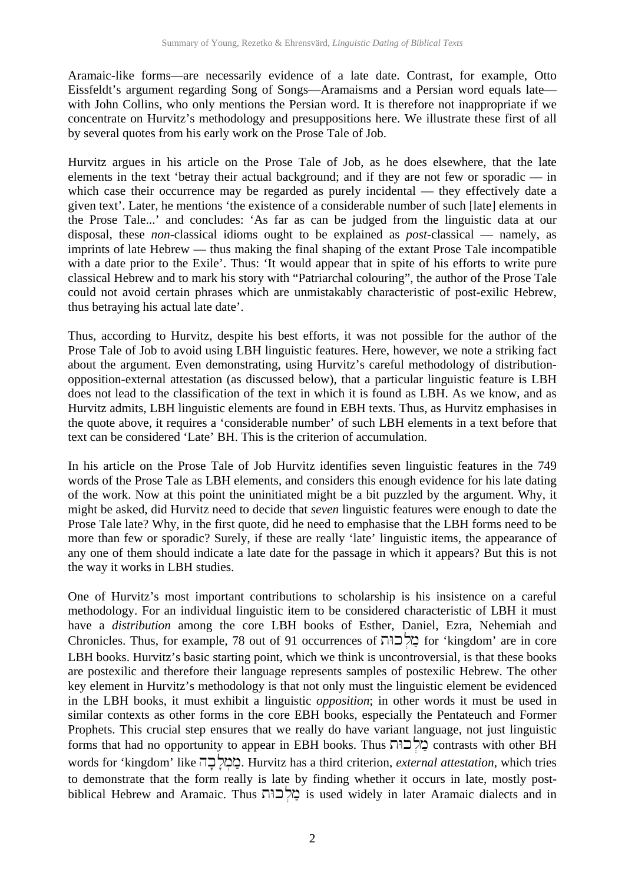Aramaic-like forms—are necessarily evidence of a late date. Contrast, for example, Otto Eissfeldt's argument regarding Song of Songs—Aramaisms and a Persian word equals late with John Collins, who only mentions the Persian word. It is therefore not inappropriate if we concentrate on Hurvitz's methodology and presuppositions here. We illustrate these first of all by several quotes from his early work on the Prose Tale of Job.

Hurvitz argues in his article on the Prose Tale of Job, as he does elsewhere, that the late elements in the text 'betray their actual background; and if they are not few or sporadic  $\frac{1}{\sqrt{1-\frac{1}{\sqrt{1-\frac{1}{\sqrt{1-\frac{1}{\sqrt{1-\frac{1}{\sqrt{1-\frac{1}{\sqrt{1-\frac{1}{\sqrt{1-\frac{1}{\sqrt{1-\frac{1}{\sqrt{1-\frac{1}{\sqrt{1-\frac{1}{\sqrt{1-\frac{1}{\sqrt{1-\frac{1}{\sqrt{1-\frac{1}{\sqrt{1-\frac{1$ which case their occurrence may be regarded as purely incidental — they effectively date a given text'. Later, he mentions 'the existence of a considerable number of such [late] elements in the Prose Tale...' and concludes: 'As far as can be judged from the linguistic data at our disposal, these *non*-classical idioms ought to be explained as *post*-classical — namely, as imprints of late Hebrew — thus making the final shaping of the extant Prose Tale incompatible with a date prior to the Exile'. Thus: 'It would appear that in spite of his efforts to write pure classical Hebrew and to mark his story with "Patriarchal colouring", the author of the Prose Tale could not avoid certain phrases which are unmistakably characteristic of post-exilic Hebrew, thus betraying his actual late date'.

Thus, according to Hurvitz, despite his best efforts, it was not possible for the author of the Prose Tale of Job to avoid using LBH linguistic features. Here, however, we note a striking fact about the argument. Even demonstrating, using Hurvitz's careful methodology of distributionopposition-external attestation (as discussed below), that a particular linguistic feature is LBH does not lead to the classification of the text in which it is found as LBH. As we know, and as Hurvitz admits, LBH linguistic elements are found in EBH texts. Thus, as Hurvitz emphasises in the quote above, it requires a 'considerable number' of such LBH elements in a text before that text can be considered 'Late' BH. This is the criterion of accumulation.

In his article on the Prose Tale of Job Hurvitz identifies seven linguistic features in the 749 words of the Prose Tale as LBH elements, and considers this enough evidence for his late dating of the work. Now at this point the uninitiated might be a bit puzzled by the argument. Why, it might be asked, did Hurvitz need to decide that *seven* linguistic features were enough to date the Prose Tale late? Why, in the first quote, did he need to emphasise that the LBH forms need to be more than few or sporadic? Surely, if these are really 'late' linguistic items, the appearance of any one of them should indicate a late date for the passage in which it appears? But this is not the way it works in LBH studies.

One of Hurvitz's most important contributions to scholarship is his insistence on a careful methodology. For an individual linguistic item to be considered characteristic of LBH it must have a *distribution* among the core LBH books of Esther, Daniel, Ezra, Nehemiah and Chronicles. Thus, for example, 78 out of 91 occurrences of מֲלְכוּת for 'kingdom' are in core LBH books. Hurvitz's basic starting point, which we think is uncontroversial, is that these books are postexilic and therefore their language represents samples of postexilic Hebrew. The other key element in Hurvitz's methodology is that not only must the linguistic element be evidenced in the LBH books, it must exhibit a linguistic *opposition*; in other words it must be used in similar contexts as other forms in the core EBH books, especially the Pentateuch and Former Prophets. This crucial step ensures that we really do have variant language, not just linguistic forms that had no opportunity to appear in EBH books. Thus כול כות contrasts with other BH words for 'kingdom' like בְּמְלַבָה, Hurvitz has a third criterion, *external attestation*, which tries to demonstrate that the form really is late by finding whether it occurs in late, mostly postbiblical Hebrew and Aramaic. Thus בַלְכוּה is used widely in later Aramaic dialects and in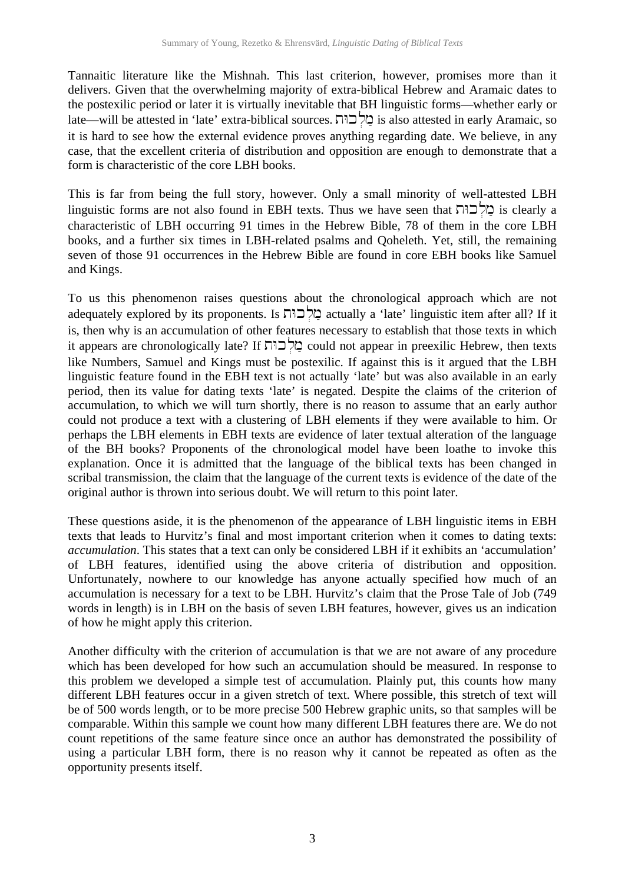Tannaitic literature like the Mishnah. This last criterion, however, promises more than it delivers. Given that the overwhelming majority of extra-biblical Hebrew and Aramaic dates to the postexilic period or later it is virtually inevitable that BH linguistic forms—whether early or late—will be attested in 'late' extra-biblical sources. בְּלְכוּה is also attested in early Aramaic, so it is hard to see how the external evidence proves anything regarding date. We believe, in any case, that the excellent criteria of distribution and opposition are enough to demonstrate that a form is characteristic of the core LBH books.

This is far from being the full story, however. Only a small minority of well-attested LBH linguistic forms are not also found in EBH texts. Thus we have seen that בְּוֹלְבוּה is clearly a characteristic of LBH occurring 91 times in the Hebrew Bible, 78 of them in the core LBH books, and a further six times in LBH-related psalms and Qoheleth. Yet, still, the remaining seven of those 91 occurrences in the Hebrew Bible are found in core EBH books like Samuel and Kings.

To us this phenomenon raises questions about the chronological approach which are not adequately explored by its proponents. Is מַלְבוּת actually a 'late' linguistic item after all? If it is, then why is an accumulation of other features necessary to establish that those texts in which it appears are chronologically late? If  $\Box$ כורח could not appear in preexilic Hebrew, then texts like Numbers, Samuel and Kings must be postexilic. If against this is it argued that the LBH linguistic feature found in the EBH text is not actually 'late' but was also available in an early period, then its value for dating texts 'late' is negated. Despite the claims of the criterion of accumulation, to which we will turn shortly, there is no reason to assume that an early author could not produce a text with a clustering of LBH elements if they were available to him. Or perhaps the LBH elements in EBH texts are evidence of later textual alteration of the language of the BH books? Proponents of the chronological model have been loathe to invoke this explanation. Once it is admitted that the language of the biblical texts has been changed in scribal transmission, the claim that the language of the current texts is evidence of the date of the original author is thrown into serious doubt. We will return to this point later.

These questions aside, it is the phenomenon of the appearance of LBH linguistic items in EBH texts that leads to Hurvitz's final and most important criterion when it comes to dating texts: *accumulation*. This states that a text can only be considered LBH if it exhibits an 'accumulation' of LBH features, identified using the above criteria of distribution and opposition. Unfortunately, nowhere to our knowledge has anyone actually specified how much of an accumulation is necessary for a text to be LBH. Hurvitz's claim that the Prose Tale of Job (749 words in length) is in LBH on the basis of seven LBH features, however, gives us an indication of how he might apply this criterion.

Another difficulty with the criterion of accumulation is that we are not aware of any procedure which has been developed for how such an accumulation should be measured. In response to this problem we developed a simple test of accumulation. Plainly put, this counts how many different LBH features occur in a given stretch of text. Where possible, this stretch of text will be of 500 words length, or to be more precise 500 Hebrew graphic units, so that samples will be comparable. Within this sample we count how many different LBH features there are. We do not count repetitions of the same feature since once an author has demonstrated the possibility of using a particular LBH form, there is no reason why it cannot be repeated as often as the opportunity presents itself.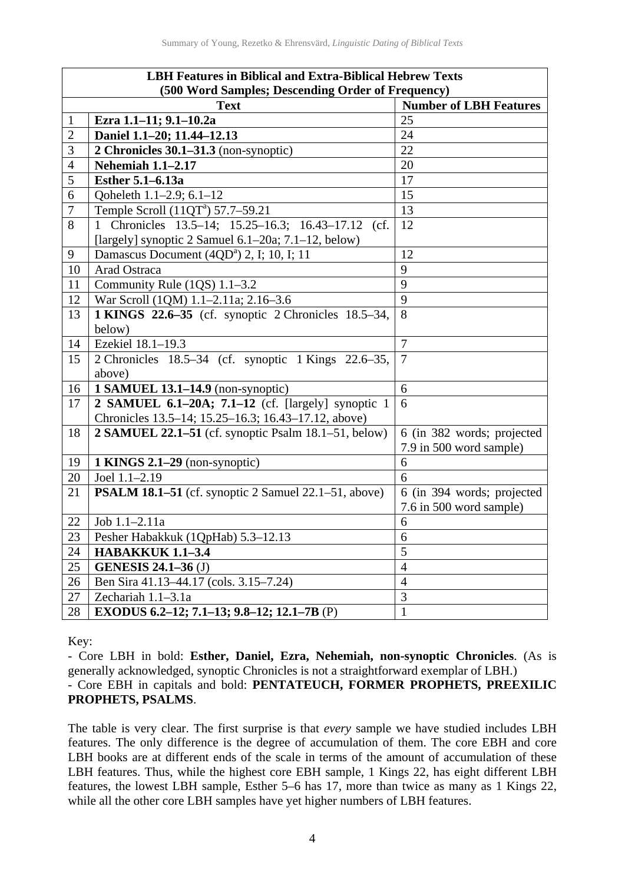| <b>LBH Features in Biblical and Extra-Biblical Hebrew Texts</b> |                                                             |                               |
|-----------------------------------------------------------------|-------------------------------------------------------------|-------------------------------|
| (500 Word Samples; Descending Order of Frequency)               |                                                             |                               |
|                                                                 | <b>Text</b>                                                 | <b>Number of LBH Features</b> |
| $\mathbf{1}$                                                    | Ezra 1.1-11; 9.1-10.2a                                      | 25                            |
| $\overline{2}$                                                  | Daniel 1.1-20; 11.44-12.13                                  | 24                            |
| 3                                                               | 2 Chronicles 30.1-31.3 (non-synoptic)                       | $\overline{22}$               |
| $\overline{4}$                                                  | <b>Nehemiah 1.1-2.17</b>                                    | 20                            |
| 5                                                               | Esther 5.1-6.13a                                            | 17                            |
| $\overline{6}$                                                  | Qoheleth 1.1-2.9; 6.1-12                                    | 15                            |
| $\overline{7}$                                                  | Temple Scroll (11QT <sup>a</sup> ) 57.7–59.21               | 13                            |
| 8                                                               | 1 Chronicles 13.5-14; 15.25-16.3; 16.43-17.12 (cf.          | 12                            |
|                                                                 | [largely] synoptic 2 Samuel 6.1-20a; 7.1-12, below)         |                               |
| 9                                                               | Damascus Document (4QD <sup>a</sup> ) 2, I; 10, I; 11       | 12                            |
| 10                                                              | Arad Ostraca                                                | 9                             |
| 11                                                              | Community Rule (1QS) 1.1-3.2                                | 9                             |
| 12                                                              | War Scroll (1QM) 1.1-2.11a; 2.16-3.6                        | 9                             |
| 13                                                              | <b>1 KINGS 22.6–35</b> (cf. synoptic 2 Chronicles 18.5–34,  | 8                             |
|                                                                 | below)                                                      |                               |
| 14                                                              | Ezekiel 18.1-19.3                                           | $\overline{7}$                |
| 15                                                              | 2 Chronicles 18.5–34 (cf. synoptic 1 Kings 22.6–35,         | $\overline{7}$                |
|                                                                 | above)                                                      |                               |
| 16                                                              | 1 SAMUEL 13.1-14.9 (non-synoptic)                           | 6                             |
| 17                                                              | 2 SAMUEL 6.1-20A; 7.1-12 (cf. [largely] synoptic 1          | 6                             |
|                                                                 | Chronicles 13.5–14; 15.25–16.3; 16.43–17.12, above)         |                               |
| 18                                                              | 2 SAMUEL 22.1–51 (cf. synoptic Psalm 18.1–51, below)        | 6 (in 382 words; projected    |
|                                                                 |                                                             | 7.9 in 500 word sample)       |
| 19                                                              | 1 KINGS 2.1-29 (non-synoptic)                               | 6                             |
| 20                                                              | Joel 1.1-2.19                                               | 6                             |
| 21                                                              | <b>PSALM 18.1–51</b> (cf. synoptic 2 Samuel 22.1–51, above) | 6 (in 394 words; projected    |
|                                                                 |                                                             | 7.6 in 500 word sample)       |
| 22                                                              | Job 1.1-2.11a                                               | 6                             |
| 23                                                              | Pesher Habakkuk (1QpHab) 5.3-12.13                          | 6                             |
| 24                                                              | <b>HABAKKUK 1.1-3.4</b>                                     | 5                             |
| 25                                                              | <b>GENESIS 24.1-36 (J)</b>                                  | $\overline{4}$                |
| 26                                                              | Ben Sira 41.13-44.17 (cols. 3.15-7.24)                      | $\overline{4}$                |
| 27                                                              | Zechariah 1.1-3.1a                                          | 3                             |
| 28                                                              | <b>EXODUS 6.2-12; 7.1-13; 9.8-12; 12.1-7B (P)</b>           | $\mathbf{1}$                  |

Key:

- Core LBH in bold: **Esther, Daniel, Ezra, Nehemiah, non-synoptic Chronicles**. (As is generally acknowledged, synoptic Chronicles is not a straightforward exemplar of LBH.) - Core EBH in capitals and bold: **PENTATEUCH, FORMER PROPHETS, PREEXILIC PROPHETS, PSALMS**.

The table is very clear. The first surprise is that *every* sample we have studied includes LBH features. The only difference is the degree of accumulation of them. The core EBH and core LBH books are at different ends of the scale in terms of the amount of accumulation of these LBH features. Thus, while the highest core EBH sample, 1 Kings 22, has eight different LBH features, the lowest LBH sample, Esther 5–6 has 17, more than twice as many as 1 Kings 22, while all the other core LBH samples have yet higher numbers of LBH features.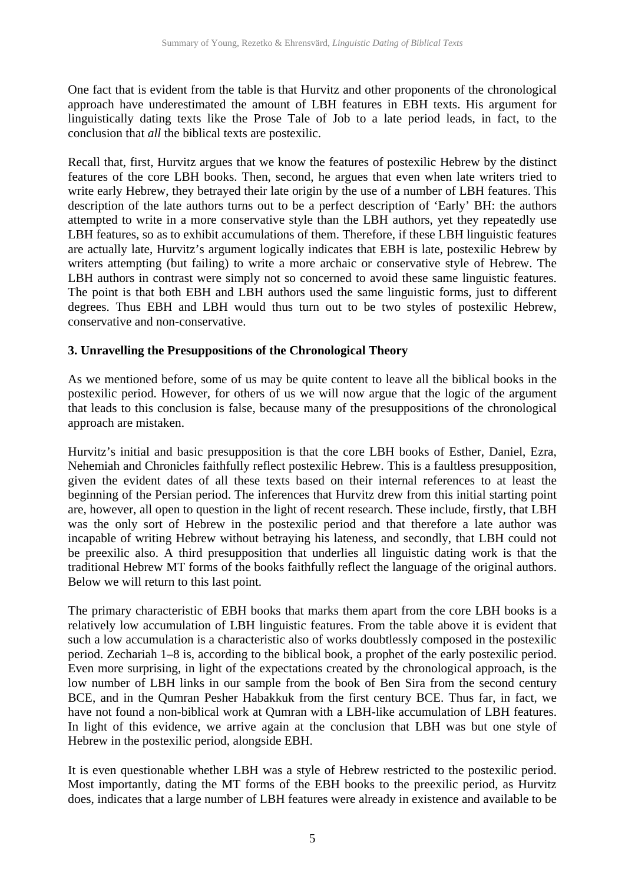One fact that is evident from the table is that Hurvitz and other proponents of the chronological approach have underestimated the amount of LBH features in EBH texts. His argument for linguistically dating texts like the Prose Tale of Job to a late period leads, in fact, to the conclusion that *all* the biblical texts are postexilic.

Recall that, first, Hurvitz argues that we know the features of postexilic Hebrew by the distinct features of the core LBH books. Then, second, he argues that even when late writers tried to write early Hebrew, they betrayed their late origin by the use of a number of LBH features. This description of the late authors turns out to be a perfect description of 'Early' BH: the authors attempted to write in a more conservative style than the LBH authors, yet they repeatedly use LBH features, so as to exhibit accumulations of them. Therefore, if these LBH linguistic features are actually late, Hurvitz's argument logically indicates that EBH is late, postexilic Hebrew by writers attempting (but failing) to write a more archaic or conservative style of Hebrew. The LBH authors in contrast were simply not so concerned to avoid these same linguistic features. The point is that both EBH and LBH authors used the same linguistic forms, just to different degrees. Thus EBH and LBH would thus turn out to be two styles of postexilic Hebrew, conservative and non-conservative.

### **3. Unravelling the Presuppositions of the Chronological Theory**

As we mentioned before, some of us may be quite content to leave all the biblical books in the postexilic period. However, for others of us we will now argue that the logic of the argument that leads to this conclusion is false, because many of the presuppositions of the chronological approach are mistaken.

Hurvitz's initial and basic presupposition is that the core LBH books of Esther, Daniel, Ezra, Nehemiah and Chronicles faithfully reflect postexilic Hebrew. This is a faultless presupposition, given the evident dates of all these texts based on their internal references to at least the beginning of the Persian period. The inferences that Hurvitz drew from this initial starting point are, however, all open to question in the light of recent research. These include, firstly, that LBH was the only sort of Hebrew in the postexilic period and that therefore a late author was incapable of writing Hebrew without betraying his lateness, and secondly, that LBH could not be preexilic also. A third presupposition that underlies all linguistic dating work is that the traditional Hebrew MT forms of the books faithfully reflect the language of the original authors. Below we will return to this last point.

The primary characteristic of EBH books that marks them apart from the core LBH books is a relatively low accumulation of LBH linguistic features. From the table above it is evident that such a low accumulation is a characteristic also of works doubtlessly composed in the postexilic period. Zechariah 1–8 is, according to the biblical book, a prophet of the early postexilic period. Even more surprising, in light of the expectations created by the chronological approach, is the low number of LBH links in our sample from the book of Ben Sira from the second century BCE, and in the Qumran Pesher Habakkuk from the first century BCE. Thus far, in fact, we have not found a non-biblical work at Qumran with a LBH-like accumulation of LBH features. In light of this evidence, we arrive again at the conclusion that LBH was but one style of Hebrew in the postexilic period, alongside EBH.

It is even questionable whether LBH was a style of Hebrew restricted to the postexilic period. Most importantly, dating the MT forms of the EBH books to the preexilic period, as Hurvitz does, indicates that a large number of LBH features were already in existence and available to be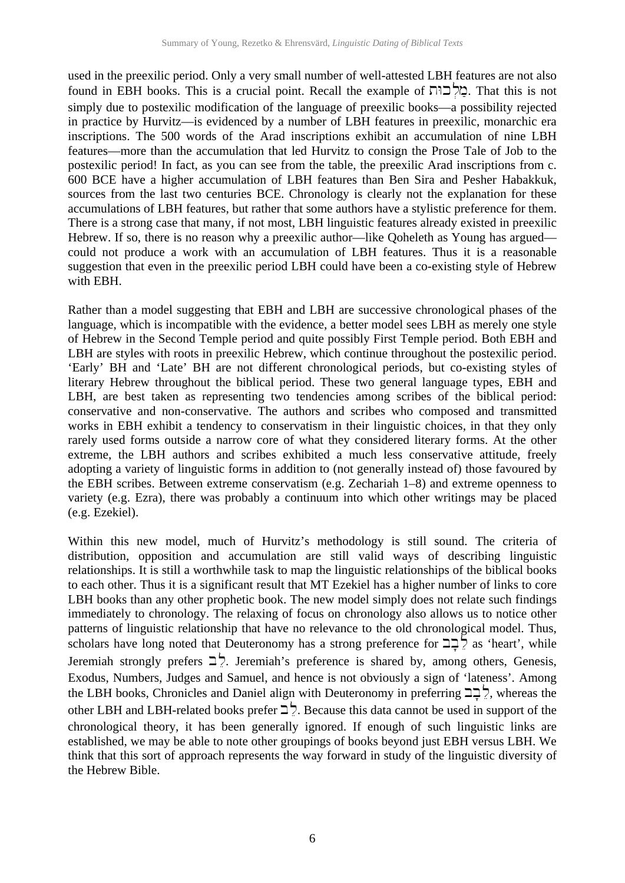used in the preexilic period. Only a very small number of well-attested LBH features are not also found in EBH books. This is a crucial point. Recall the example of  $\Gamma$ מלכות. That this is not simply due to postexilic modification of the language of preexilic books—a possibility rejected in practice by Hurvitz—is evidenced by a number of LBH features in preexilic, monarchic era inscriptions. The 500 words of the Arad inscriptions exhibit an accumulation of nine LBH features—more than the accumulation that led Hurvitz to consign the Prose Tale of Job to the postexilic period! In fact, as you can see from the table, the preexilic Arad inscriptions from c. 600 BCE have a higher accumulation of LBH features than Ben Sira and Pesher Habakkuk, sources from the last two centuries BCE. Chronology is clearly not the explanation for these accumulations of LBH features, but rather that some authors have a stylistic preference for them. There is a strong case that many, if not most, LBH linguistic features already existed in preexilic Hebrew. If so, there is no reason why a preexilic author—like Qoheleth as Young has argued could not produce a work with an accumulation of LBH features. Thus it is a reasonable suggestion that even in the preexilic period LBH could have been a co-existing style of Hebrew with EBH.

Rather than a model suggesting that EBH and LBH are successive chronological phases of the language, which is incompatible with the evidence, a better model sees LBH as merely one style of Hebrew in the Second Temple period and quite possibly First Temple period. Both EBH and LBH are styles with roots in preexilic Hebrew, which continue throughout the postexilic period. 'Early' BH and 'Late' BH are not different chronological periods, but co-existing styles of literary Hebrew throughout the biblical period. These two general language types, EBH and LBH, are best taken as representing two tendencies among scribes of the biblical period: conservative and non-conservative. The authors and scribes who composed and transmitted works in EBH exhibit a tendency to conservatism in their linguistic choices, in that they only rarely used forms outside a narrow core of what they considered literary forms. At the other extreme, the LBH authors and scribes exhibited a much less conservative attitude, freely adopting a variety of linguistic forms in addition to (not generally instead of) those favoured by the EBH scribes. Between extreme conservatism (e.g. Zechariah 1–8) and extreme openness to variety (e.g. Ezra), there was probably a continuum into which other writings may be placed (e.g. Ezekiel).

Within this new model, much of Hurvitz's methodology is still sound. The criteria of distribution, opposition and accumulation are still valid ways of describing linguistic relationships. It is still a worthwhile task to map the linguistic relationships of the biblical books to each other. Thus it is a significant result that MT Ezekiel has a higher number of links to core LBH books than any other prophetic book. The new model simply does not relate such findings immediately to chronology. The relaxing of focus on chronology also allows us to notice other patterns of linguistic relationship that have no relevance to the old chronological model. Thus, scholars have long noted that Deuteronomy has a strong preference for  $\exists \exists$  as 'heart', while Jeremiah strongly prefers  $\exists$ . Jeremiah's preference is shared by, among others, Genesis, Exodus, Numbers, Judges and Samuel, and hence is not obviously a sign of 'lateness'. Among the LBH books, Chronicles and Daniel align with Deuteronomy in preferring  $\exists \exists$ , whereas the other LBH and LBH-related books prefer  $\exists$ . Because this data cannot be used in support of the chronological theory, it has been generally ignored. If enough of such linguistic links are established, we may be able to note other groupings of books beyond just EBH versus LBH. We think that this sort of approach represents the way forward in study of the linguistic diversity of the Hebrew Bible.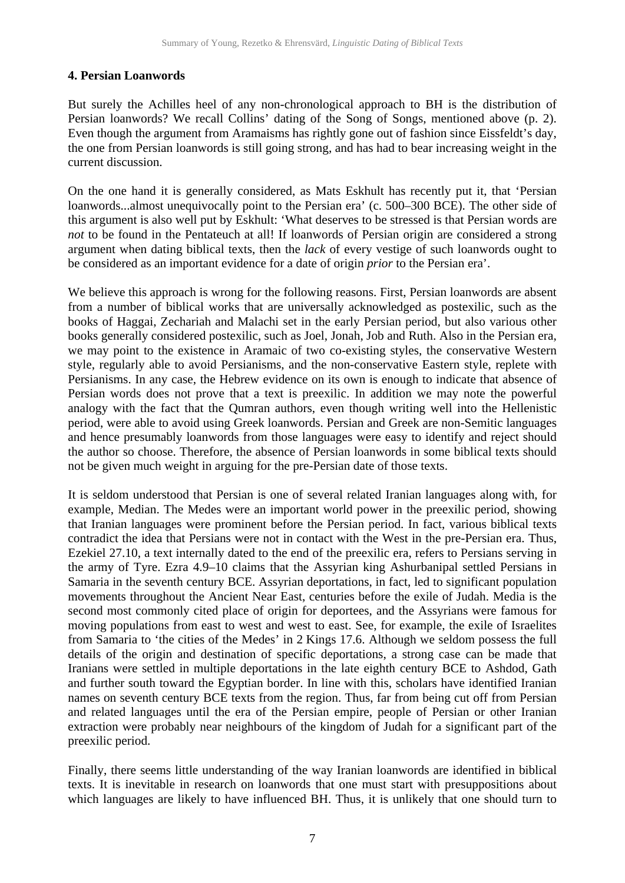## **4. Persian Loanwords**

But surely the Achilles heel of any non-chronological approach to BH is the distribution of Persian loanwords? We recall Collins' dating of the Song of Songs, mentioned above (p. 2). Even though the argument from Aramaisms has rightly gone out of fashion since Eissfeldt's day, the one from Persian loanwords is still going strong, and has had to bear increasing weight in the current discussion.

On the one hand it is generally considered, as Mats Eskhult has recently put it, that 'Persian loanwords...almost unequivocally point to the Persian era' (c. 500–300 BCE). The other side of this argument is also well put by Eskhult: 'What deserves to be stressed is that Persian words are *not* to be found in the Pentateuch at all! If loanwords of Persian origin are considered a strong argument when dating biblical texts, then the *lack* of every vestige of such loanwords ought to be considered as an important evidence for a date of origin *prior* to the Persian era'.

We believe this approach is wrong for the following reasons. First, Persian loanwords are absent from a number of biblical works that are universally acknowledged as postexilic, such as the books of Haggai, Zechariah and Malachi set in the early Persian period, but also various other books generally considered postexilic, such as Joel, Jonah, Job and Ruth. Also in the Persian era, we may point to the existence in Aramaic of two co-existing styles, the conservative Western style, regularly able to avoid Persianisms, and the non-conservative Eastern style, replete with Persianisms. In any case, the Hebrew evidence on its own is enough to indicate that absence of Persian words does not prove that a text is preexilic. In addition we may note the powerful analogy with the fact that the Qumran authors, even though writing well into the Hellenistic period, were able to avoid using Greek loanwords. Persian and Greek are non-Semitic languages and hence presumably loanwords from those languages were easy to identify and reject should the author so choose. Therefore, the absence of Persian loanwords in some biblical texts should not be given much weight in arguing for the pre-Persian date of those texts.

It is seldom understood that Persian is one of several related Iranian languages along with, for example, Median. The Medes were an important world power in the preexilic period, showing that Iranian languages were prominent before the Persian period. In fact, various biblical texts contradict the idea that Persians were not in contact with the West in the pre-Persian era. Thus, Ezekiel 27.10, a text internally dated to the end of the preexilic era, refers to Persians serving in the army of Tyre. Ezra 4.9–10 claims that the Assyrian king Ashurbanipal settled Persians in Samaria in the seventh century BCE. Assyrian deportations, in fact, led to significant population movements throughout the Ancient Near East, centuries before the exile of Judah. Media is the second most commonly cited place of origin for deportees, and the Assyrians were famous for moving populations from east to west and west to east. See, for example, the exile of Israelites from Samaria to 'the cities of the Medes' in 2 Kings 17.6. Although we seldom possess the full details of the origin and destination of specific deportations, a strong case can be made that Iranians were settled in multiple deportations in the late eighth century BCE to Ashdod, Gath and further south toward the Egyptian border. In line with this, scholars have identified Iranian names on seventh century BCE texts from the region. Thus, far from being cut off from Persian and related languages until the era of the Persian empire, people of Persian or other Iranian extraction were probably near neighbours of the kingdom of Judah for a significant part of the preexilic period.

Finally, there seems little understanding of the way Iranian loanwords are identified in biblical texts. It is inevitable in research on loanwords that one must start with presuppositions about which languages are likely to have influenced BH. Thus, it is unlikely that one should turn to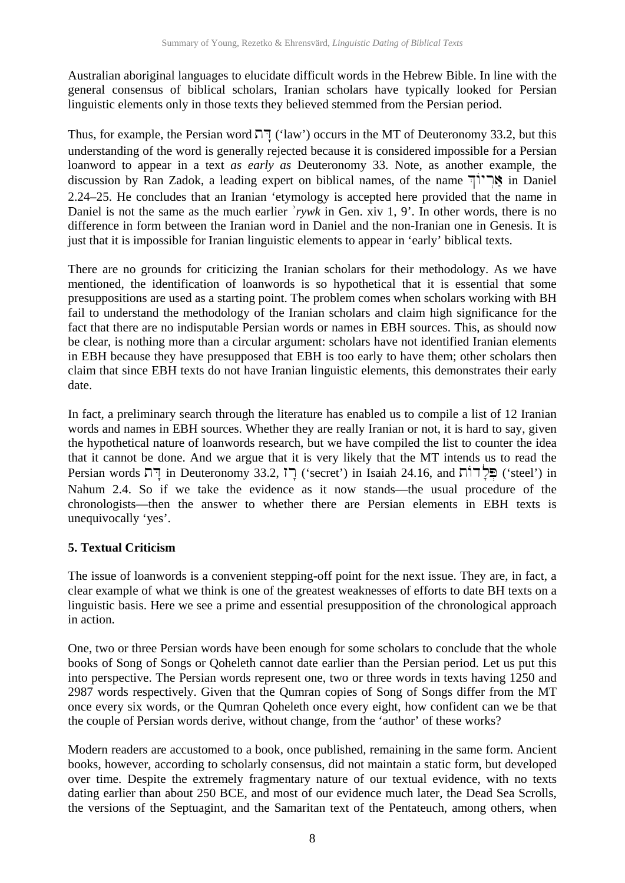Australian aboriginal languages to elucidate difficult words in the Hebrew Bible. In line with the general consensus of biblical scholars, Iranian scholars have typically looked for Persian linguistic elements only in those texts they believed stemmed from the Persian period.

Thus, for example, the Persian word  $\overline{\Gamma}$  ('law') occurs in the MT of Deuteronomy 33.2, but this understanding of the word is generally rejected because it is considered impossible for a Persian loanword to appear in a text *as early as* Deuteronomy 33. Note, as another example, the discussion by Ran Zadok, a leading expert on biblical names, of the name  $\mathbb{R}^n$  in Daniel 2.24–25. He concludes that an Iranian 'etymology is accepted here provided that the name in Daniel is not the same as the much earlier *rywk* in Gen. xiv 1, 9'. In other words, there is no difference in form between the Iranian word in Daniel and the non-Iranian one in Genesis. It is just that it is impossible for Iranian linguistic elements to appear in 'early' biblical texts.

There are no grounds for criticizing the Iranian scholars for their methodology. As we have mentioned, the identification of loanwords is so hypothetical that it is essential that some presuppositions are used as a starting point. The problem comes when scholars working with BH fail to understand the methodology of the Iranian scholars and claim high significance for the fact that there are no indisputable Persian words or names in EBH sources. This, as should now be clear, is nothing more than a circular argument: scholars have not identified Iranian elements in EBH because they have presupposed that EBH is too early to have them; other scholars then claim that since EBH texts do not have Iranian linguistic elements, this demonstrates their early date.

In fact, a preliminary search through the literature has enabled us to compile a list of 12 Iranian words and names in EBH sources. Whether they are really Iranian or not, it is hard to say, given the hypothetical nature of loanwords research, but we have compiled the list to counter the idea that it cannot be done. And we argue that it is very likely that the MT intends us to read the Persian words יְהָ in Deuteronomy 33.2, דְוֹ, ('secret') in Isaiah 24.16, and יְבְּלְדוֹת ('steel') in Nahum 2.4. So if we take the evidence as it now stands—the usual procedure of the chronologists—then the answer to whether there are Persian elements in EBH texts is unequivocally 'yes'.

# **5. Textual Criticism**

The issue of loanwords is a convenient stepping-off point for the next issue. They are, in fact, a clear example of what we think is one of the greatest weaknesses of efforts to date BH texts on a linguistic basis. Here we see a prime and essential presupposition of the chronological approach in action.

One, two or three Persian words have been enough for some scholars to conclude that the whole books of Song of Songs or Qoheleth cannot date earlier than the Persian period. Let us put this into perspective. The Persian words represent one, two or three words in texts having 1250 and 2987 words respectively. Given that the Qumran copies of Song of Songs differ from the MT once every six words, or the Qumran Qoheleth once every eight, how confident can we be that the couple of Persian words derive, without change, from the 'author' of these works?

Modern readers are accustomed to a book, once published, remaining in the same form. Ancient books, however, according to scholarly consensus, did not maintain a static form, but developed over time. Despite the extremely fragmentary nature of our textual evidence, with no texts dating earlier than about 250 BCE, and most of our evidence much later, the Dead Sea Scrolls, the versions of the Septuagint, and the Samaritan text of the Pentateuch, among others, when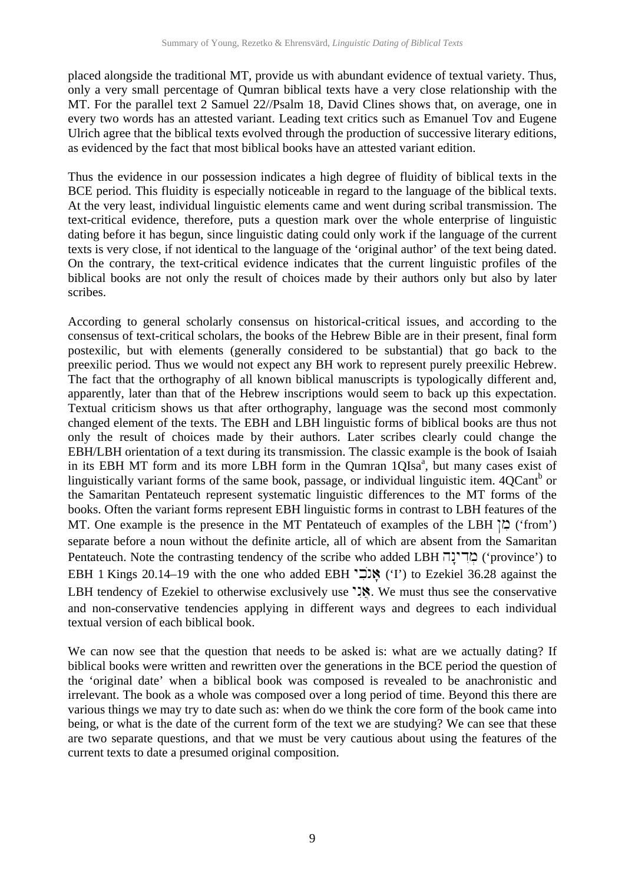placed alongside the traditional MT, provide us with abundant evidence of textual variety. Thus, only a very small percentage of Qumran biblical texts have a very close relationship with the MT. For the parallel text 2 Samuel 22//Psalm 18, David Clines shows that, on average, one in every two words has an attested variant. Leading text critics such as Emanuel Tov and Eugene Ulrich agree that the biblical texts evolved through the production of successive literary editions, as evidenced by the fact that most biblical books have an attested variant edition.

Thus the evidence in our possession indicates a high degree of fluidity of biblical texts in the BCE period. This fluidity is especially noticeable in regard to the language of the biblical texts. At the very least, individual linguistic elements came and went during scribal transmission. The text-critical evidence, therefore, puts a question mark over the whole enterprise of linguistic dating before it has begun, since linguistic dating could only work if the language of the current texts is very close, if not identical to the language of the 'original author' of the text being dated. On the contrary, the text-critical evidence indicates that the current linguistic profiles of the biblical books are not only the result of choices made by their authors only but also by later scribes.

According to general scholarly consensus on historical-critical issues, and according to the consensus of text-critical scholars, the books of the Hebrew Bible are in their present, final form postexilic, but with elements (generally considered to be substantial) that go back to the preexilic period. Thus we would not expect any BH work to represent purely preexilic Hebrew. The fact that the orthography of all known biblical manuscripts is typologically different and, apparently, later than that of the Hebrew inscriptions would seem to back up this expectation. Textual criticism shows us that after orthography, language was the second most commonly changed element of the texts. The EBH and LBH linguistic forms of biblical books are thus not only the result of choices made by their authors. Later scribes clearly could change the EBH/LBH orientation of a text during its transmission. The classic example is the book of Isaiah in its EBH MT form and its more LBH form in the Qumran 1QIsa<sup>a</sup>, but many cases exist of linguistically variant forms of the same book, passage, or individual linguistic item. 4QCant<sup>b</sup> or the Samaritan Pentateuch represent systematic linguistic differences to the MT forms of the books. Often the variant forms represent EBH linguistic forms in contrast to LBH features of the MT. One example is the presence in the MT Pentateuch of examples of the LBH  $\mathcal{D}$  ('from') separate before a noun without the definite article, all of which are absent from the Samaritan Pentateuch. Note the contrasting tendency of the scribe who added LBH הדינה ('province') to EBH 1 Kings 20.14–19 with the one who added EBH  $\sum N$  ('I') to Ezekiel 36.28 against the LBH tendency of Ezekiel to otherwise exclusively use  $\mathbf{R}$ . We must thus see the conservative and non-conservative tendencies applying in different ways and degrees to each individual textual version of each biblical book.

We can now see that the question that needs to be asked is: what are we actually dating? If biblical books were written and rewritten over the generations in the BCE period the question of the 'original date' when a biblical book was composed is revealed to be anachronistic and irrelevant. The book as a whole was composed over a long period of time. Beyond this there are various things we may try to date such as: when do we think the core form of the book came into being, or what is the date of the current form of the text we are studying? We can see that these are two separate questions, and that we must be very cautious about using the features of the current texts to date a presumed original composition.